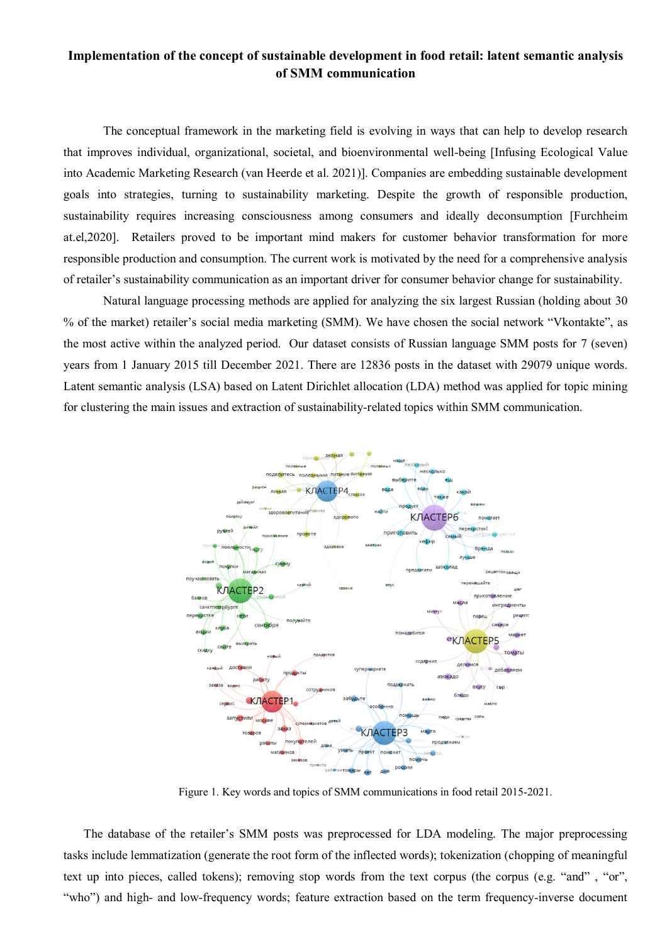## **Implementation of the concept of sustainable development in food retail: latent semantic analysis of SMM communication**

The conceptual framework in the marketing field is evolving in ways that can help to develop research that improves individual, organizational, societal, and bioenvironmental well-being [Infusing Ecological Value into Academic Marketing Research (van Heerde et al. 2021)]. Companies are embedding sustainable development goals into strategies, turning to sustainability marketing. Despite the growth of responsible production, sustainability requires increasing consciousness among consumers and ideally deconsumption [Furchheim at.el,2020]. Retailers proved to be important mind makers for customer behavior transformation for more responsible production and consumption. The current work is motivated by the need for a comprehensive analysis of retailer's sustainability communication as an important driver for consumer behavior change for sustainability.

Natural language processing methods are applied for analyzing the six largest Russian (holding about 30 % of the market) retailer's social media marketing (SMM). We have chosen the social network "Vkontakte", as the most active within the analyzed period. Our dataset consists of Russian language SMM posts for 7 (seven) years from 1 January 2015 till December 2021. There are 12836 posts in the dataset with 29079 unique words. Latent semantic analysis (LSA) based on Latent Dirichlet allocation (LDA) method was applied for topic mining for clustering the main issues and extraction of sustainability-related topics within SMM communication.



Figure 1. Key words and topics of SMM communications in food retail 2015-2021.

The database of the retailer's SMM posts was preprocessed for LDA modeling. The major preprocessing tasks include lemmatization (generate the root form of the inflected words); tokenization (chopping of meaningful text up into pieces, called tokens); removing stop words from the text corpus (the corpus (e.g. "and", "or", "who") and high- and low-frequency words; feature extraction based on the term frequency-inverse document